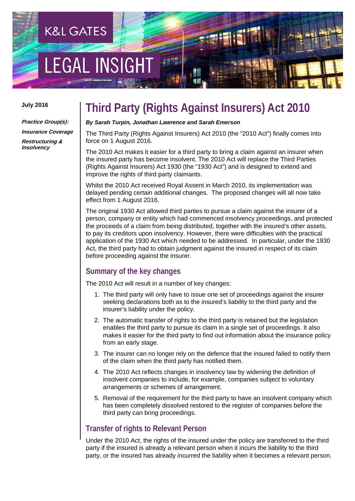# **EGAL INSIGH**

**K&L GATES** 

#### **July 2016**

**Practice Group(s): Insurance Coverage Restructuring & Insolvency**

### **Third Party (Rights Against Insurers) Act 2010**

#### *By Sarah Turpin, Jonathan Lawrence and Sarah Emerson*

The Third Party (Rights Against Insurers) Act 2010 (the "2010 Act") finally comes into force on 1 August 2016.

The 2010 Act makes it easier for a third party to bring a claim against an insurer when the insured party has become insolvent. The 2010 Act will replace the Third Parties (Rights Against Insurers) Act 1930 (the "1930 Act") and is designed to extend and improve the rights of third party claimants.

Whilst the 2010 Act received Royal Assent in March 2010, its implementation was delayed pending certain additional changes. The proposed changes will all now take effect from 1 August 2016.

The original 1930 Act allowed third parties to pursue a claim against the insurer of a person, company or entity which had commenced insolvency proceedings, and protected the proceeds of a claim from being distributed, together with the insured's other assets, to pay its creditors upon insolvency. However, there were difficulties with the practical application of the 1930 Act which needed to be addressed. In particular, under the 1930 Act, the third party had to obtain judgment against the insured in respect of its claim before proceeding against the insurer.

#### **Summary of the key changes**

The 2010 Act will result in a number of key changes:

- 1. The third party will only have to issue one set of proceedings against the insurer seeking declarations both as to the insured's liability to the third party and the insurer's liability under the policy.
- 2. The automatic transfer of rights to the third party is retained but the legislation enables the third party to pursue its claim in a single set of proceedings. It also makes it easier for the third party to find out information about the insurance policy from an early stage.
- 3. The insurer can no longer rely on the defence that the insured failed to notify them of the claim when the third party has notified them.
- 4. The 2010 Act reflects changes in insolvency law by widening the definition of insolvent companies to include, for example, companies subject to voluntary arrangements or schemes of arrangement.
- 5. Removal of the requirement for the third party to have an insolvent company which has been completely dissolved restored to the register of companies before the third party can bring proceedings.

#### **Transfer of rights to Relevant Person**

Under the 2010 Act, the rights of the insured under the policy are transferred to the third party if the insured is already a relevant person when it incurs the liability to the third party, or the insured has already incurred the liability when it becomes a relevant person.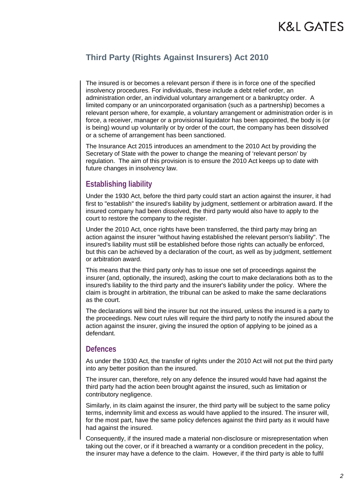#### **Third Party (Rights Against Insurers) Act 2010**

The insured is or becomes a relevant person if there is in force one of the specified insolvency procedures. For individuals, these include a debt relief order, an administration order, an individual voluntary arrangement or a bankruptcy order. A limited company or an unincorporated organisation (such as a partnership) becomes a relevant person where, for example, a voluntary arrangement or administration order is in force, a receiver, manager or a provisional liquidator has been appointed, the body is (or is being) wound up voluntarily or by order of the court, the company has been dissolved or a scheme of arrangement has been sanctioned.

The Insurance Act 2015 introduces an amendment to the 2010 Act by providing the Secretary of State with the power to change the meaning of 'relevant person' by regulation. The aim of this provision is to ensure the 2010 Act keeps up to date with future changes in insolvency law.

#### **Establishing liability**

Under the 1930 Act, before the third party could start an action against the insurer, it had first to "establish" the insured's liability by judgment, settlement or arbitration award. If the insured company had been dissolved, the third party would also have to apply to the court to restore the company to the register.

Under the 2010 Act, once rights have been transferred, the third party may bring an action against the insurer "without having established the relevant person's liability". The insured's liability must still be established before those rights can actually be enforced, but this can be achieved by a declaration of the court, as well as by judgment, settlement or arbitration award.

This means that the third party only has to issue one set of proceedings against the insurer (and, optionally, the insured), asking the court to make declarations both as to the insured's liability to the third party and the insurer's liability under the policy. Where the claim is brought in arbitration, the tribunal can be asked to make the same declarations as the court.

The declarations will bind the insurer but not the insured, unless the insured is a party to the proceedings. New court rules will require the third party to notify the insured about the action against the insurer, giving the insured the option of applying to be joined as a defendant.

#### **Defences**

As under the 1930 Act, the transfer of rights under the 2010 Act will not put the third party into any better position than the insured.

The insurer can, therefore, rely on any defence the insured would have had against the third party had the action been brought against the insured, such as limitation or contributory negligence.

Similarly, in its claim against the insurer, the third party will be subject to the same policy terms, indemnity limit and excess as would have applied to the insured. The insurer will, for the most part, have the same policy defences against the third party as it would have had against the insured.

Consequently, if the insured made a material non-disclosure or misrepresentation when taking out the cover, or if it breached a warranty or a condition precedent in the policy, the insurer may have a defence to the claim. However, if the third party is able to fulfil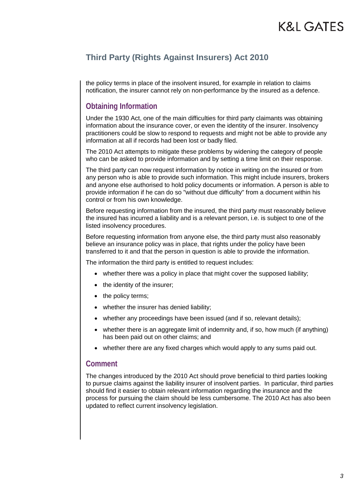#### **Third Party (Rights Against Insurers) Act 2010**

the policy terms in place of the insolvent insured, for example in relation to claims notification, the insurer cannot rely on non-performance by the insured as a defence.

#### **Obtaining Information**

Under the 1930 Act, one of the main difficulties for third party claimants was obtaining information about the insurance cover, or even the identity of the insurer. Insolvency practitioners could be slow to respond to requests and might not be able to provide any information at all if records had been lost or badly filed.

The 2010 Act attempts to mitigate these problems by widening the category of people who can be asked to provide information and by setting a time limit on their response.

The third party can now request information by notice in writing on the insured or from any person who is able to provide such information. This might include insurers, brokers and anyone else authorised to hold policy documents or information. A person is able to provide information if he can do so "without due difficulty" from a document within his control or from his own knowledge.

Before requesting information from the insured, the third party must reasonably believe the insured has incurred a liability and is a relevant person, i.e. is subject to one of the listed insolvency procedures.

Before requesting information from anyone else, the third party must also reasonably believe an insurance policy was in place, that rights under the policy have been transferred to it and that the person in question is able to provide the information.

The information the third party is entitled to request includes:

- whether there was a policy in place that might cover the supposed liability;
- the identity of the insurer:
- the policy terms;
- whether the insurer has denied liability;
- whether any proceedings have been issued (and if so, relevant details);
- whether there is an aggregate limit of indemnity and, if so, how much (if anything) has been paid out on other claims; and
- whether there are any fixed charges which would apply to any sums paid out.

#### **Comment**

The changes introduced by the 2010 Act should prove beneficial to third parties looking to pursue claims against the liability insurer of insolvent parties. In particular, third parties should find it easier to obtain relevant information regarding the insurance and the process for pursuing the claim should be less cumbersome. The 2010 Act has also been updated to reflect current insolvency legislation.